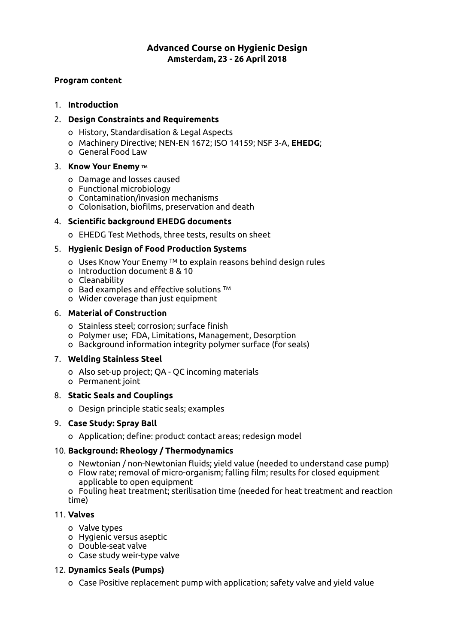# **Advanced Course on Hygienic Design Amsterdam, 23 - 26 April 2018**

### **Program content**

## 1. **Introduction**

# 2. **Design Constraints and Requirements**

- o History, Standardisation & Legal Aspects
- o Machinery Directive; NEN-EN 1672; ISO 14159; NSF 3-A, **EHEDG**;
- o General Food Law

## 3. **Know Your Enemy TM**

- o Damage and losses caused
- o Functional microbiology
- o Contamination/invasion mechanisms
- o Colonisation, bioflms, preservation and death

# 4. **Scientifc background EHEDG documents**

o EHEDG Test Methods, three tests, results on sheet

# 5. **Hygienic Design of Food Production Systems**

- o Uses Know Your Enemy TM to explain reasons behind design rules
- o Introduction document 8 & 10
- o Cleanability
- $\circ$  Bad examples and effective solutions  $TM$
- o Wider coverage than just equipment

# 6. **Material of Construction**

- o Stainless steel; corrosion; surface fnish
- o Polymer use; FDA, Limitations, Management, Desorption
- o Background information integrity polymer surface (for seals)

## 7. **Welding Stainless Steel**

- o Also set-up project; QA QC incoming materials
- o Permanent joint

## 8. **Static Seals and Couplings**

o Design principle static seals; examples

## 9. **Case Study: Spray Ball**

o Application; defne: product contact areas; redesign model

# 10. **Background: Rheology / Thermodynamics**

- o Newtonian / non-Newtonian fuids; yield value (needed to understand case pump)
- o Flow rate; removal of micro-organism; falling flm; results for closed equipment applicable to open equipment
- o Fouling heat treatment; sterilisation time (needed for heat treatment and reaction time)

# 11. **Valves**

- o Valve types
- o Hygienic versus aseptic
- o Double-seat valve
- o Case study weir-type valve

# 12. **Dynamics Seals (Pumps)**

o Case Positive replacement pump with application; safety valve and yield value